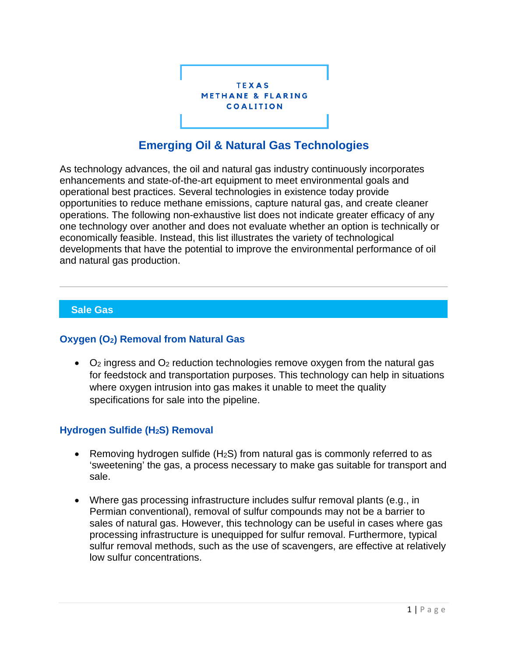

# **Emerging Oil & Natural Gas Technologies**

As technology advances, the oil and natural gas industry continuously incorporates enhancements and state-of-the-art equipment to meet environmental goals and operational best practices. Several technologies in existence today provide opportunities to reduce methane emissions, capture natural gas, and create cleaner operations. The following non-exhaustive list does not indicate greater efficacy of any one technology over another and does not evaluate whether an option is technically or economically feasible. Instead, this list illustrates the variety of technological developments that have the potential to improve the environmental performance of oil and natural gas production.

## **Sale Gas**

#### **Oxygen (O2) Removal from Natural Gas**

• O2 ingress and O2 reduction technologies remove oxygen from the natural gas for feedstock and transportation purposes. This technology can help in situations where oxygen intrusion into gas makes it unable to meet the quality specifications for sale into the pipeline.

# **Hydrogen Sulfide (H2S) Removal**

- Removing hydrogen sulfide  $(H<sub>2</sub>S)$  from natural gas is commonly referred to as 'sweetening' the gas, a process necessary to make gas suitable for transport and sale.
- Where gas processing infrastructure includes sulfur removal plants (e.g., in Permian conventional), removal of sulfur compounds may not be a barrier to sales of natural gas. However, this technology can be useful in cases where gas processing infrastructure is unequipped for sulfur removal. Furthermore, typical sulfur removal methods, such as the use of scavengers, are effective at relatively low sulfur concentrations.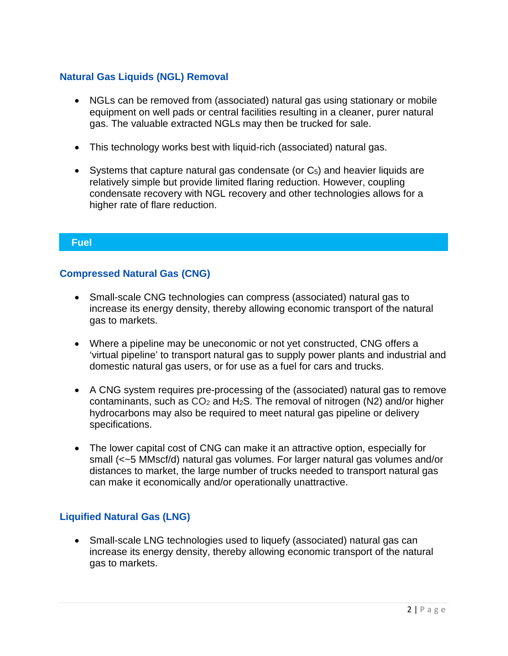# **Natural Gas Liquids (NGL) Removal**

- NGLs can be removed from (associated) natural gas using stationary or mobile equipment on well pads or central facilities resulting in a cleaner, purer natural gas. The valuable extracted NGLs may then be trucked for sale.
- This technology works best with liquid-rich (associated) natural gas.
- Systems that capture natural gas condensate (or  $C_5$ ) and heavier liquids are relatively simple but provide limited flaring reduction. However, coupling condensate recovery with NGL recovery and other technologies allows for a higher rate of flare reduction.

#### **Fuel**

## **Compressed Natural Gas (CNG)**

- Small-scale CNG technologies can compress (associated) natural gas to increase its energy density, thereby allowing economic transport of the natural gas to markets.
- Where a pipeline may be uneconomic or not yet constructed, CNG offers a 'virtual pipeline' to transport natural gas to supply power plants and industrial and domestic natural gas users, or for use as a fuel for cars and trucks.
- A CNG system requires pre-processing of the (associated) natural gas to remove contaminants, such as  $CO<sub>2</sub>$  and H<sub>2</sub>S. The removal of nitrogen (N2) and/or higher hydrocarbons may also be required to meet natural gas pipeline or delivery specifications.
- The lower capital cost of CNG can make it an attractive option, especially for small (<~5 MMscf/d) natural gas volumes. For larger natural gas volumes and/or distances to market, the large number of trucks needed to transport natural gas can make it economically and/or operationally unattractive.

# **Liquified Natural Gas (LNG)**

• Small-scale LNG technologies used to liquefy (associated) natural gas can increase its energy density, thereby allowing economic transport of the natural gas to markets.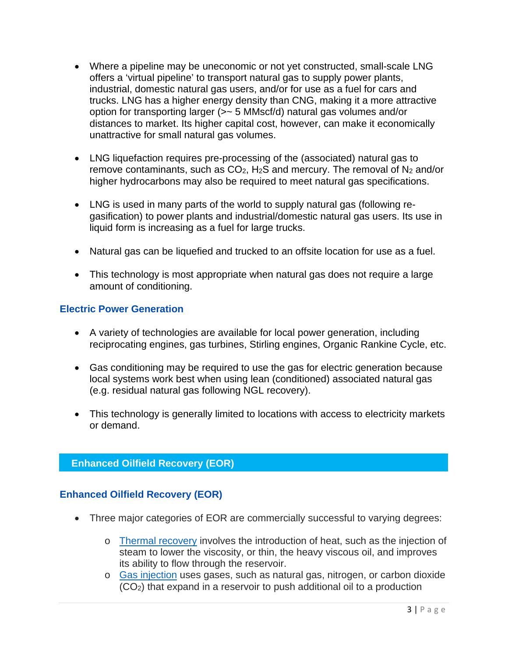- Where a pipeline may be uneconomic or not yet constructed, small-scale LNG offers a 'virtual pipeline' to transport natural gas to supply power plants, industrial, domestic natural gas users, and/or for use as a fuel for cars and trucks. LNG has a higher energy density than CNG, making it a more attractive option for transporting larger (>~ 5 MMscf/d) natural gas volumes and/or distances to market. Its higher capital cost, however, can make it economically unattractive for small natural gas volumes.
- LNG liquefaction requires pre-processing of the (associated) natural gas to remove contaminants, such as  $CO<sub>2</sub>$ , H<sub>2</sub>S and mercury. The removal of N<sub>2</sub> and/or higher hydrocarbons may also be required to meet natural gas specifications.
- LNG is used in many parts of the world to supply natural gas (following regasification) to power plants and industrial/domestic natural gas users. Its use in liquid form is increasing as a fuel for large trucks.
- Natural gas can be liquefied and trucked to an offsite location for use as a fuel.
- This technology is most appropriate when natural gas does not require a large amount of conditioning.

## **Electric Power Generation**

- A variety of technologies are available for local power generation, including reciprocating engines, gas turbines, Stirling engines, Organic Rankine Cycle, etc.
- Gas conditioning may be required to use the gas for electric generation because local systems work best when using lean (conditioned) associated natural gas (e.g. residual natural gas following NGL recovery).
- This technology is generally limited to locations with access to electricity markets or demand.

## **Enhanced Oilfield Recovery (EOR)**

#### **Enhanced Oilfield Recovery (EOR)**

- Three major categories of EOR are commercially successful to varying degrees:
	- o [Thermal recovery](http://www.netl.doe.gov/technologies/oil-gas/EP_Technologies/ImprovedRecovery/EnhancedOilRecovery/Thermal.html) involves the introduction of heat, such as the injection of steam to lower the viscosity, or thin, the heavy viscous oil, and improves its ability to flow through the reservoir.
	- o [Gas injection](http://www.netl.doe.gov/technologies/oil-gas/EP_Technologies/ImprovedRecovery/EnhancedOilRecovery/GasFlood.html) uses gases, such as natural gas, nitrogen, or carbon dioxide (CO2) that expand in a reservoir to push additional oil to a production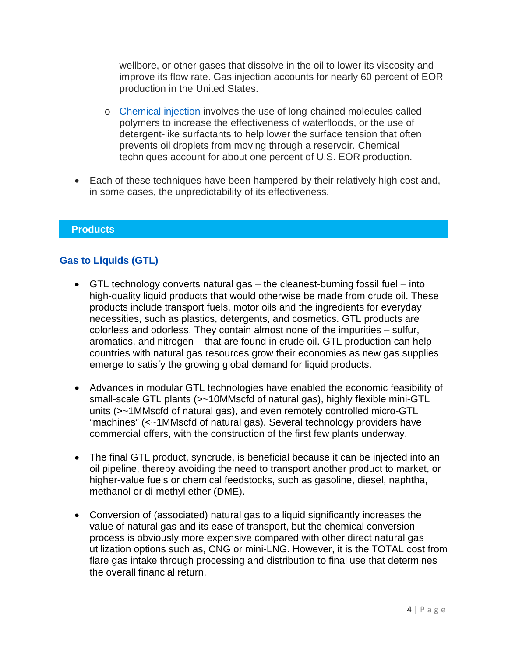wellbore, or other gases that dissolve in the oil to lower its viscosity and improve its flow rate. Gas injection accounts for nearly 60 percent of EOR production in the United States.

- o [Chemical injection](http://www.netl.doe.gov/technologies/oil-gas/EP_Technologies/ImprovedRecovery/EnhancedOilRecovery/Chemical.html) involves the use of long-chained molecules called polymers to increase the effectiveness of waterfloods, or the use of detergent-like surfactants to help lower the surface tension that often prevents oil droplets from moving through a reservoir. Chemical techniques account for about one percent of U.S. EOR production.
- Each of these techniques have been hampered by their relatively high cost and, in some cases, the unpredictability of its effectiveness.

## **Products**

# **Gas to Liquids (GTL)**

- GTL technology converts natural gas the cleanest-burning fossil fuel into high-quality liquid products that would otherwise be made from crude oil. These products include transport fuels, motor oils and the ingredients for everyday necessities, such as plastics, detergents, and cosmetics. GTL products are colorless and odorless. They contain almost none of the impurities – sulfur, aromatics, and nitrogen – that are found in crude oil. GTL production can help countries with natural gas resources grow their economies as new gas supplies emerge to satisfy the growing global demand for liquid products.
- Advances in modular GTL technologies have enabled the economic feasibility of small-scale GTL plants (>~10MMscfd of natural gas), highly flexible mini-GTL units (>~1MMscfd of natural gas), and even remotely controlled micro-GTL "machines" (<~1MMscfd of natural gas). Several technology providers have commercial offers, with the construction of the first few plants underway.
- The final GTL product, syncrude, is beneficial because it can be injected into an oil pipeline, thereby avoiding the need to transport another product to market, or higher-value fuels or chemical feedstocks, such as gasoline, diesel, naphtha, methanol or di-methyl ether (DME).
- Conversion of (associated) natural gas to a liquid significantly increases the value of natural gas and its ease of transport, but the chemical conversion process is obviously more expensive compared with other direct natural gas utilization options such as, CNG or mini-LNG. However, it is the TOTAL cost from flare gas intake through processing and distribution to final use that determines the overall financial return.